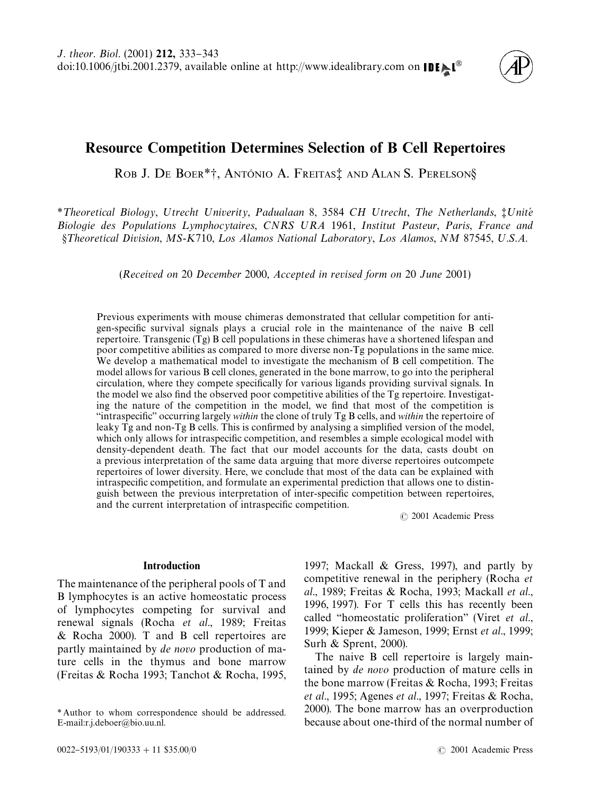

# Resource Competition Determines Selection of B Cell Repertoires

ROB J. DE BOER<sup>\*†</sup>, ANTÓNIO A. FREITAS<sup>†</sup> AND ALAN S. PERELSON§

*\** Theoretical Biology, Utrecht Univerity, Padualaan 8, 3584 CH Utrecht, The Netherlands,  $\ddagger$ Unité *Biologie des Populations Lymphocytaires, CNRS URA 1961, Institut Pasteur, Paris, France and*  $\delta$ *Theoretical Division, MS-K710, Los Alamos National Laboratory, Los Alamos, NM 87545, U.S.A.* 

(*Received on* 20 *December* 2000, *Accepted in revised form on* 20 *June* 2001)

Previous experiments with mouse chimeras demonstrated that cellular competition for antigen-specific survival signals plays a crucial role in the maintenance of the naive B cell repertoire. Transgenic (Tg) B cell populations in these chimeras have a shortened lifespan and poor competitive abilities as compared to more diverse non-Tg populations in the same mice. We develop a mathematical model to investigate the mechanism of B cell competition. The model allows for various B cell clones, generated in the bone marrow, to go into the peripheral circulation, where they compete specifically for various ligands providing survival signals. In the model we also find the observed poor competitive abilities of the Tg repertoire. Investigating the nature of the competition in the model, we find that most of the competition is "intraspecific" occurring largely *within* the clone of truly Tg B cells, and *within* the repertoire of leaky  $\overline{1}g$  and non- $\overline{1}g$  B cells. This is confirmed by analysing a simplified version of the model, which only allows for intraspecific competition, and resembles a simple ecological model with density-dependent death. The fact that our model accounts for the data, casts doubt on a previous interpretation of the same data arguing that more diverse repertoires outcompete repertoires of lower diversity. Here, we conclude that most of the data can be explained with intraspecific competition, and formulate an experimental prediction that allows one to distinguish between the previous interpretation of inter-specific competition between repertoires, and the current interpretation of intraspecific competition.

( 2001 Academic Press

# Introduction

The maintenance of the peripheral pools of T and B lymphocytes is an active homeostatic process of lymphocytes competing for survival and renewal signals (Rocha *et al*[., 1989;](#page-10-0) [Freitas](#page-9-0) [& Rocha 2000\).](#page-9-0) T and B cell repertoires are partly maintained by *de novo* production of mature cells in the thymus and bone marrow [\(Freitas & Rocha 1993;](#page-9-0) [Tanchot & Rocha, 1995,](#page-10-0)

[1997; Mackall & Gress, 1997\)](#page-10-0), and partly by competitive renewal in the periphery [\(Rocha](#page-10-0) *et al*[., 1989;](#page-10-0) [Freitas & Rocha, 1993;](#page-9-0) [Mackall](#page-10-0) *et al*., [1996,](#page-10-0) [1997\).](#page-10-0) For T cells this has recently been called "homeostatic proliferation" [\(Viret](#page-10-0) *et al.*, [1999;](#page-10-0) [Kieper & Jameson, 1999;](#page-10-0) Ernst *et al*[., 1999;](#page-9-0) [Surh & Sprent, 2000\)](#page-10-0).

The naive B cell repertoire is largely maintained by *de novo* production of mature cells in the bone marrow [\(Freitas & Rocha, 1993; Freitas](#page-9-0) *et al*[., 1995; Agenes](#page-9-0) *et al*., 1997; [Freitas & Rocha,](#page-9-0) [2000\).](#page-9-0) The bone marrow has an overproduction because about one-third of the normal number of

*<sup>\*</sup>* Author to whom correspondence should be addressed. E-mail:r.j.deboer@bio.uu.nl.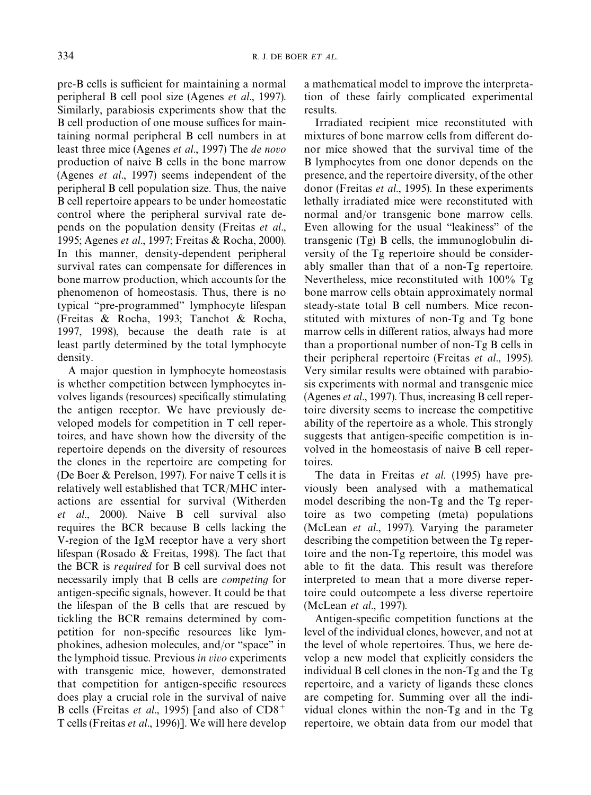pre-B cells is sufficient for maintaining a normal peripheral B cell pool size (Agenes *et al*[., 1997\).](#page-9-0) Similarly, parabiosis experiments show that the B cell production of one mouse suffices for maintaining normal peripheral B cell numbers in at least three mice [\(Agenes](#page-9-0) *et al*., 1997) The *de novo* production of naive B cells in the bone marrow (Agenes *et al*[., 1997\)](#page-9-0) seems independent of the peripheral B cell population size. Thus, the naive B cell repertoire appears to be under homeostatic control where the peripheral survival rate depends on the population density [\(Freitas](#page-9-0) *et al*., [1995; Agenes](#page-9-0) *et al*., 1997; [Freitas & Rocha, 2000\).](#page-9-0) In this manner, density-dependent peripheral survival rates can compensate for differences in bone marrow production, which accounts for the phenomenon of homeostasis. Thus, there is no typical "pre-programmed" lymphocyte lifespan [\(Freitas & Rocha, 1993;](#page-9-0) [Tanchot & Rocha,](#page-10-0) [1997, 1998\)](#page-10-0), because the death rate is at least partly determined by the total lymphocyte density.

A major question in lymphocyte homeostasis is whether competition between lymphocytes involves ligands (resources) specifically stimulating the antigen receptor. We have previously developed models for competition in T cell repertoires, and have shown how the diversity of the repertoire depends on the diversity of resources the clones in the repertoire are competing for [\(De Boer & Perelson, 1997\).](#page-9-0) For naive T cells it is relatively well established that TCR/MHC interactions are essential for survival [\(Witherden](#page-10-0) *et al*[., 2000\).](#page-10-0) Naive B cell survival also requires the BCR because B cells lacking the V-region of the IgM receptor have a very short lifespan [\(Rosado & Freitas, 1998\).](#page-10-0) The fact that the BCR is *required* for B cell survival does not necessarily imply that B cells are *competing* for antigen-specific signals, however. It could be that the lifespan of the B cells that are rescued by tickling the BCR remains determined by competition for non-specific resources like lymphokines, adhesion molecules, and/or "space" in the lymphoid tissue. Previous *in vivo* experiments with transgenic mice, however, demonstrated that competition for antigen-specific resources does play a crucial role in the survival of naive B cells [\(Freitas](#page-9-0) *et al*., 1995) [and also of CD8` T cells (Freitas *et al*[., 1996\)\]](#page-10-0). We will here develop a mathematical model to improve the interpretation of these fairly complicated experimental results.

Irradiated recipient mice reconstituted with mixtures of bone marrow cells from different donor mice showed that the survival time of the B lymphocytes from one donor depends on the presence, and the repertoire diversity, of the other donor [\(Freitas](#page-9-0) *et al*., 1995). In these experiments lethally irradiated mice were reconstituted with normal and/or transgenic bone marrow cells. Even allowing for the usual "leakiness" of the transgenic (Tg) B cells, the immunoglobulin diversity of the Tg repertoire should be considerably smaller than that of a non-Tg repertoire. Nevertheless, mice reconstituted with 100% Tg bone marrow cells obtain approximately normal steady-state total B cell numbers. Mice reconstituted with mixtures of non-Tg and Tg bone marrow cells in different ratios, always had more than a proportional number of non-Tg B cells in their peripheral repertoire [\(Freitas](#page-9-0) *et al*., 1995). Very similar results were obtained with parabiosis experiments with normal and transgenic mice [\(Agenes](#page-9-0) *et al*., 1997). Thus, increasing B cell repertoire diversity seems to increase the competitive ability of the repertoire as a whole. This strongly suggests that antigen-specific competition is involved in the homeostasis of naive B cell repertoires.

The data in Freitas *et al*[. \(1995\)](#page-9-0) have previously been analysed with a mathematical model describing the non-Tg and the Tg repertoire as two competing (meta) populations [\(McLean](#page-10-0) *et al*., 1997). Varying the parameter describing the competition between the Tg repertoire and the non-Tg repertoire, this model was able to fit the data. This result was therefore interpreted to mean that a more diverse repertoire could outcompete a less diverse repertoire [\(McLean](#page-10-0) *et al*., 1997).

Antigen-specific competition functions at the level of the individual clones, however, and not at the level of whole repertoires. Thus, we here develop a new model that explicitly considers the individual B cell clones in the non-Tg and the Tg repertoire, and a variety of ligands these clones are competing for. Summing over all the individual clones within the non-Tg and in the Tg repertoire, we obtain data from our model that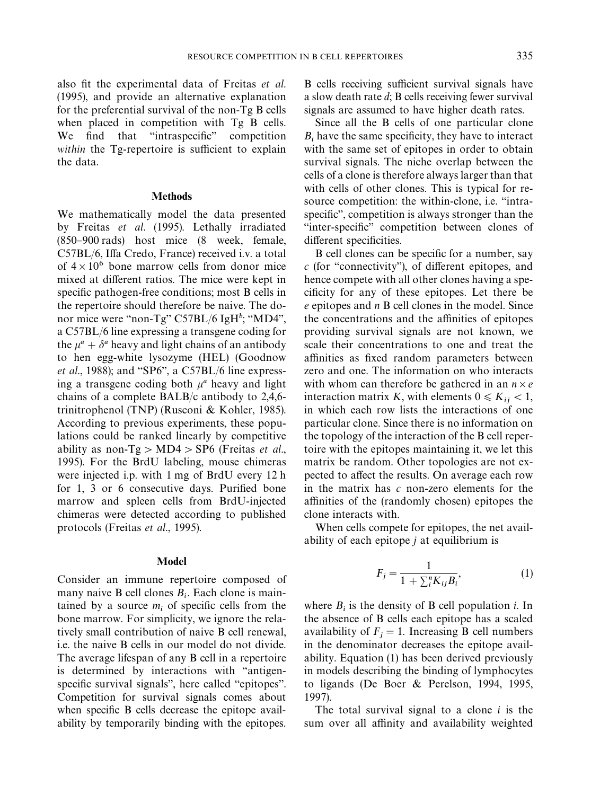<span id="page-2-0"></span>also fit the experimental data o[f Freitas](#page-9-0) *et al.* [\(1995\),](#page-9-0) and provide an alternative explanation for the preferential survival of the non-Tg B cells when placed in competition with Tg B cells. We find that "intraspecific" competition *within* the Tg-repertoire is sufficient to explain the data.

## **Methods**

We mathematically model the data presented by Freitas *et al*[. \(1995\).](#page-9-0) Lethally irradiated  $(850-900 \text{ rad})$  host mice  $(8 \text{ week}, \text{ female})$ C57BL/6, Iffa Credo, France) received i.v. a total of  $4 \times 10^6$  bone marrow cells from donor mice mixed at different ratios. The mice were kept in specific pathogen-free conditions; most B cells in the repertoire should therefore be naive. The donor mice were "non-Tg" C57BL/6 IgH<sup>b</sup>; "MD4", a C57BL/6 line expressing a transgene coding for the  $\mu^a + \delta^a$  heavy and light chains of an antibody to hen egg-white lysozyme (HEL) [\(Goodnow](#page-10-0) *et al.*, 1988); and "SP6", a C57BL/6 line expressing a transgene coding both  $\mu^a$  heavy and light chains of a complete BALB/c antibody to 2,4,6 trinitrophenol (TNP) [\(Rusconi & Kohler, 1985\).](#page-10-0) According to previous experiments, these populations could be ranked linearly by competitive ability as non- $Tg > MD4 > SP6$  [\(Freitas](#page-9-0) *et al.*, [1995\).](#page-9-0) For the BrdU labeling, mouse chimeras were injected i.p. with 1 mg of BrdU every 12 h for  $1, 3$  or 6 consecutive days. Purified bone marrow and spleen cells from BrdU-injected chimeras were detected according to published protocols [\(Freitas](#page-9-0) *et al*., 1995).

#### Model

Consider an immune repertoire composed of many naive B cell clones  $B_i$ . Each clone is maintained by a source  $m_i$  of specific cells from the bone marrow. For simplicity, we ignore the relatively small contribution of naive B cell renewal, i.e. the naive B cells in our model do not divide. The average lifespan of any B cell in a repertoire is determined by interactions with "antigenspecific survival signals", here called "epitopes". Competition for survival signals comes about when specific B cells decrease the epitope availability by temporarily binding with the epitopes.

B cells receiving sufficient survival signals have a slow death rate *d*; B cells receiving fewer survival signals are assumed to have higher death rates.

Since all the B cells of one particular clone  $B_i$  have the same specificity, they have to interact with the same set of epitopes in order to obtain survival signals. The niche overlap between the cells of a clone is therefore always larger than that with cells of other clones. This is typical for resource competition: the within-clone, i.e. "intraspecific", competition is always stronger than the "inter-specific" competition between clones of different specificities.

B cell clones can be specific for a number, say *c* (for "connectivity"), of different epitopes, and hence compete with all other clones having a specificity for any of these epitopes. Let there be *e* epitopes and *n* B cell clones in the model. Since the concentrations and the affinities of epitopes providing survival signals are not known, we scale their concentrations to one and treat the affinities as fixed random parameters between zero and one. The information on who interacts with whom can therefore be gathered in an  $n \times e$ interaction matrix *K*, with elements  $0 \le K_{ij} < 1$ , in which each row lists the interactions of one particular clone. Since there is no information on the topology of the interaction of the B cell repertoire with the epitopes maintaining it, we let this matrix be random. Other topologies are not expected to affect the results. On average each row in the matrix has *c* non-zero elements for the affinities of the (randomly chosen) epitopes the clone interacts with.

When cells compete for epitopes, the net availability of each epitope *j* at equilibrium is

$$
F_j = \frac{1}{1 + \sum_i^n K_{ij} B_i},\tag{1}
$$

where  $B_i$  is the density of B cell population *i*. In the absence of B cells each epitope has a scaled availability of  $F_j = 1$ . Increasing B cell numbers in the denominator decreases the epitope availability. Equation (1) has been derived previously in models describing the binding of lymphocytes to ligands [\(De Boer & Perelson, 1994, 1995,](#page-9-0) [1997\).](#page-9-0)

The total survival signal to a clone *i* is the sum over all affinity and availability weighted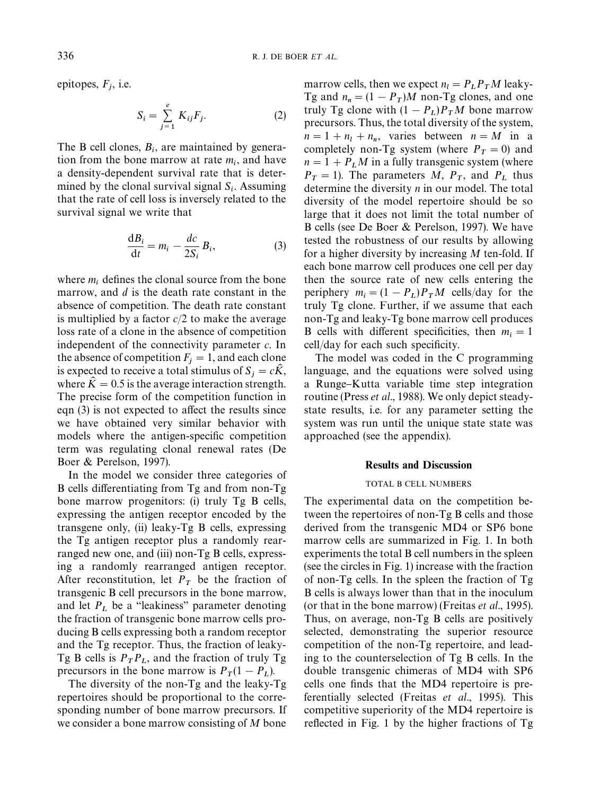<span id="page-3-0"></span>epitopes, *F*j, i.e.

$$
S_i = \sum_{j=1}^{e} K_{ij} F_j.
$$
 (2)

The B cell clones,  $B_i$ , are maintained by generation from the bone marrow at rate  $m_i$ , and have a density-dependent survival rate that is determined by the clonal survival signal  $S_i$ . Assuming that the rate of cell loss is inversely related to the survival signal we write that

$$
\frac{\mathrm{d}B_i}{\mathrm{d}t} = m_i - \frac{dc}{2S_i} B_i,\tag{3}
$$

where  $m_i$  defines the clonal source from the bone marrow, and *d* is the death rate constant in the absence of competition. The death rate constant is multiplied by a factor *c*/2 to make the average loss rate of a clone in the absence of competition independent of the connectivity parameter *c*. In the absence of competition  $F_i = 1$ , and each clone is expected to receive a total stimulus of  $S_j = c\hat{K}$ , where  $\hat{K} = 0.5$  is the average interaction strength. The precise form of the competition function in eqn  $(3)$  is not expected to affect the results since we have obtained very similar behavior with models where the antigen-specific competition term was regulating clonal renewal rates [\(De](#page-9-0) [Boer & Perelson, 1997\)](#page-9-0).

In the model we consider three categories of B cells differentiating from Tg and from non-Tg bone marrow progenitors: (i) truly Tg B cells, expressing the antigen receptor encoded by the transgene only, (ii) leaky-Tg B cells, expressing the Tg antigen receptor plus a randomly rearranged new one, and (iii) non-Tg B cells, expressing a randomly rearranged antigen receptor. After reconstitution, let  $P_T$  be the fraction of transgenic B cell precursors in the bone marrow, and let  $P_L$  be a "leakiness" parameter denoting the fraction of transgenic bone marrow cells producing B cells expressing both a random receptor and the Tg receptor. Thus, the fraction of leaky-Tg B cells is  $P_T P_L$ , and the fraction of truly Tg precursors in the bone marrow is  $P_T(1 - P_L)$ .

 The diversity of the non-Tg and the leaky-Tg repertoires should be proportional to the corresponding number of bone marrow precursors. If we consider a bone marrow consisting of *M* bone

marrow cells, then we expect  $n_l = P_L P_T M$  leaky-Tg and  $n_n = (1 - P_T)M$  non-Tg clones, and one truly Tg clone with  $(1 - P_L)P_T M$  bone marrow precursors. Thus, the total diversity of the system,  $n = 1 + n_l + n_n$ , varies between  $n = M$  in a completely non-Tg system (where  $P_T = 0$ ) and  $n = 1 + P_L M$  in a fully transgenic system (where  $P_T = 1$ ). The parameters *M*,  $P_T$ , and  $P_L$  thus determine the diversity *n* in our model. The total diversity of the model repertoire should be so large that it does not limit the total number of B cells (se[e De Boer & Perelson, 1997\).](#page-9-0) We have tested the robustness of our results by allowing for a higher diversity by increasing *M* ten-fold. If each bone marrow cell produces one cell per day then the source rate of new cells entering the periphery  $m_i = (1 - P_L)P_T M$  cells/day for the truly Tg clone. Further, if we assume that each non-Tg and leaky-Tg bone marrow cell produces B cells with different specificities, then  $m_i = 1$ cell/day for each such specificity.

The model was coded in the C programming language, and the equations were solved using a Runge–Kutta variable time step integration routine (Press *et al*[., 1988\)](#page-10-0). We only depict steadystate results, i.e. for any parameter setting the system was run until the unique state state was approached (see the appendix).

#### Results and Discussion

#### TOTAL B CELL NUMBERS

The experimental data on the competition between the repertoires of non-Tg B cells and those derived from the transgenic MD4 or SP6 bone marrow cells are summarized in [Fig. 1.](#page-4-0) In both experiments the total B cell numbers in the spleen (see the circles in [Fig. 1\)](#page-4-0) increase with the fraction of non-Tg cells. In the spleen the fraction of Tg B cells is always lower than that in the inoculum (or that in the bone marrow) [\(Freitas](#page-9-0) *et al*., 1995). Thus, on average, non-Tg B cells are positively selected, demonstrating the superior resource competition of the non-Tg repertoire, and leading to the counterselection of Tg B cells. In the double transgenic chimeras of MD4 with SP6 cells one finds that the MD4 repertoire is preferentially selected (Freitas *et al*[., 1995\).](#page-9-0) This competitive superiority of the MD4 repertoire is reflected i[n Fig. 1](#page-4-0) by the higher fractions of  $Tg$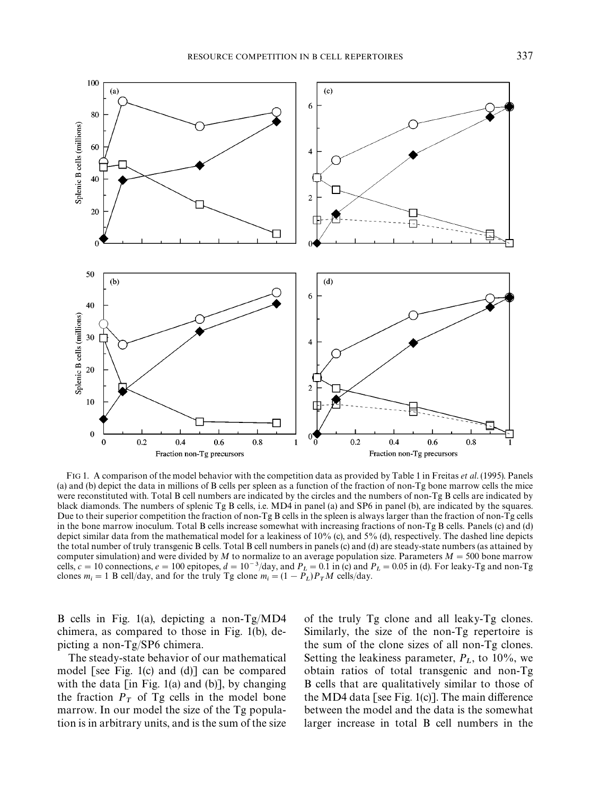<span id="page-4-0"></span>

FIG 1. A comparison of the model behavior with the competition data as provided by Table 1 in [Freitas](#page-9-0) *et al*. (1995). Panels (a) and (b) depict the data in millions of B cells per spleen as a function of the fraction of non-Tg bone marrow cells the mice were reconstituted with. Total B cell numbers are indicated by the circles and the numbers of non-Tg B cells are indicated by black diamonds. The numbers of splenic Tg B cells, i.e. MD4 in panel (a) and SP6 in panel (b), are indicated by the squares. Due to their superior competition the fraction of non-Tg B cells in the spleen is always larger than the fraction of non-Tg cells in the bone marrow inoculum. Total B cells increase somewhat with increasing fractions of non-Tg B cells. Panels (c) and (d) depict similar data from the mathematical model for a leakiness of 10% (c), and 5% (d), respectively. The dashed line depicts the total number of truly transgenic B cells. Total B cell numbers in panels (c) and (d) are steady-state numbers (as attained by computer simulation) and were divided by  $M$  to normalize to an average population size. Parameters  $M = 500$  bone marrow cells,  $c = 10$  connections,  $e = 100$  epitopes,  $d = 10^{-3}/\text{day}$ , and  $P_L = 0.1$  in (c) and  $P_L = 0.05$  in (d). For leaky-Tg and non-Tg clones  $m_i = 1$  B cell/day, and for the truly Tg clone  $m_i = (1 - P_L)P_T M$  cells/day.

B cells in Fig. 1(a), depicting a non-Tg/MD4 chimera, as compared to those in Fig. 1(b), depicting a non-Tg/SP6 chimera.

The steady-state behavior of our mathematical model [see Fig. 1(c) and (d)] can be compared with the data  $\lceil$  in Fig. 1(a) and (b)], by changing the fraction  $P_T$  of Tg cells in the model bone marrow. In our model the size of the Tg population is in arbitrary units, and is the sum of the size

of the truly Tg clone and all leaky-Tg clones. Similarly, the size of the non-Tg repertoire is the sum of the clone sizes of all non-Tg clones. Setting the leakiness parameter,  $P_L$ , to 10%, we obtain ratios of total transgenic and non-Tg B cells that are qualitatively similar to those of the MD4 data [see Fig.  $1(c)$ ]. The main difference between the model and the data is the somewhat larger increase in total B cell numbers in the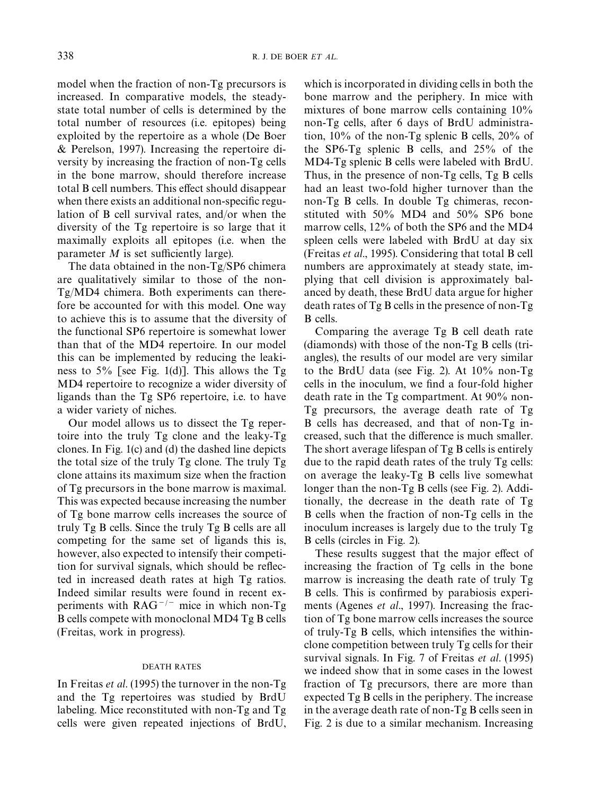model when the fraction of non-Tg precursors is increased. In comparative models, the steadystate total number of cells is determined by the total number of resources (i.e. epitopes) being exploited by the repertoire as a whole [\(De Boer](#page-9-0) [& Perelson, 1997\).](#page-9-0) Increasing the repertoire diversity by increasing the fraction of non-Tg cells in the bone marrow, should therefore increase total B cell numbers. This effect should disappear when there exists an additional non-specific regulation of B cell survival rates, and/or when the diversity of the Tg repertoire is so large that it maximally exploits all epitopes (i.e. when the parameter  $M$  is set sufficiently large).

The data obtained in the non-Tg/SP6 chimera are qualitatively similar to those of the non-Tg/MD4 chimera. Both experiments can therefore be accounted for with this model. One way to achieve this is to assume that the diversity of the functional SP6 repertoire is somewhat lower than that of the MD4 repertoire. In our model this can be implemented by reducing the leakiness to 5% [see [Fig. 1\(d\)\].](#page-4-0) This allows the Tg MD4 repertoire to recognize a wider diversity of ligands than the Tg SP6 repertoire, i.e. to have a wider variety of niches.

Our model allows us to dissect the Tg repertoire into the truly Tg clone and the leaky-Tg clones. In [Fig. 1\(c\) a](#page-4-0)nd [\(d\)](#page-4-0) the dashed line depicts the total size of the truly Tg clone. The truly Tg clone attains its maximum size when the fraction of Tg precursors in the bone marrow is maximal. This was expected because increasing the number of Tg bone marrow cells increases the source of truly Tg B cells. Since the truly Tg B cells are all competing for the same set of ligands this is, however, also expected to intensify their competition for survival signals, which should be reflected in increased death rates at high Tg ratios. Indeed similar results were found in recent experiments with  $RAG^{-/-}$  mice in which non-Tg B cells compete with monoclonal MD4 Tg B cells (Freitas, work in progress).

#### DEATH RATES

In [Freitas](#page-9-0) *et al*. (1995) the turnover in the non-Tg and the Tg repertoires was studied by BrdU labeling. Mice reconstituted with non-Tg and Tg cells were given repeated injections of BrdU,

which is incorporated in dividing cells in both the bone marrow and the periphery. In mice with mixtures of bone marrow cells containing 10% non-Tg cells, after 6 days of BrdU administration, 10% of the non-Tg splenic B cells, 20% of the SP6-Tg splenic B cells, and 25% of the MD4-Tg splenic B cells were labeled with BrdU. Thus, in the presence of non-Tg cells, Tg B cells had an least two-fold higher turnover than the non-Tg B cells. In double Tg chimeras, reconstituted with 50% MD4 and 50% SP6 bone marrow cells, 12% of both the SP6 and the MD4 spleen cells were labeled with BrdU at day six ([Freitas](#page-9-0) *et al*., 1995). Considering that total B cell numbers are approximately at steady state, implying that cell division is approximately balanced by death, these BrdU data argue for higher death rates of Tg B cells in the presence of non-Tg B cells.

Comparing the average Tg B cell death rate (diamonds) with those of the non-Tg B cells (triangles), the results of our model are very similar to the BrdU data (see [Fig. 2\)](#page-6-0). At 10% non-Tg cells in the inoculum, we find a four-fold higher death rate in the Tg compartment. At 90% non-Tg precursors, the average death rate of Tg B cells has decreased, and that of non-Tg increased, such that the difference is much smaller. The short average lifespan of Tg B cells is entirely due to the rapid death rates of the truly Tg cells: on average the leaky-Tg B cells live somewhat longer than the non-Tg B cells (see [Fig. 2\).](#page-6-0) Additionally, the decrease in the death rate of Tg B cells when the fraction of non-Tg cells in the inoculum increases is largely due to the truly Tg B cells (circles i[n Fig. 2\).](#page-6-0)

These results suggest that the major effect of increasing the fraction of Tg cells in the bone marrow is increasing the death rate of truly Tg B cells. This is confirmed by parabiosis experiments [\(Agenes](#page-9-0) *et al*., 1997). Increasing the fraction of Tg bone marrow cells increases the source of truly- $Tg$  B cells, which intensifies the withinclone competition between truly Tg cells for their survival signals. In Fig. 7 o[f Freitas](#page-9-0) *et al*. (1995) we indeed show that in some cases in the lowest fraction of Tg precursors, there are more than expected Tg B cells in the periphery. The increase in the average death rate of non-Tg B cells seen in [Fig. 2 i](#page-6-0)s due to a similar mechanism. Increasing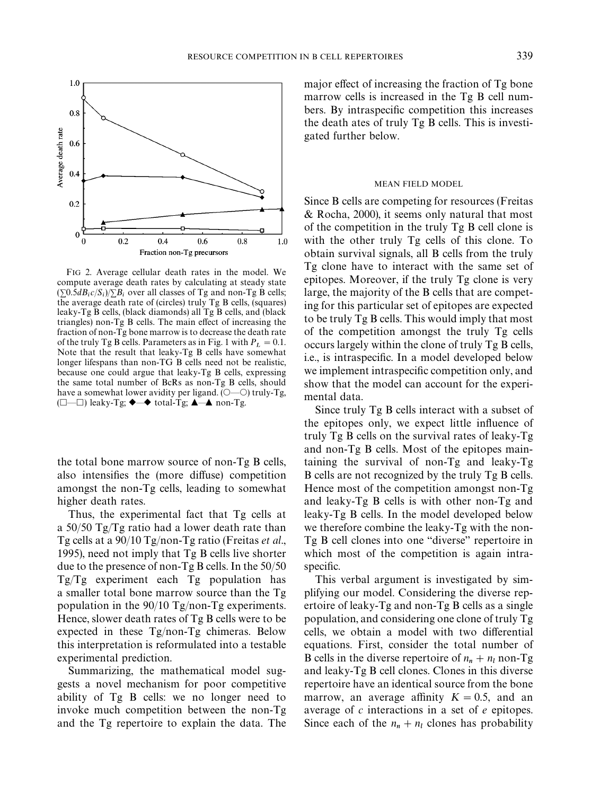<span id="page-6-0"></span>

FIG 2. Average cellular death rates in the model. We compute average death rates by calculating at steady state  $(\sum 0.5dB_i c/S_i)/\sum B_i$  over all classes of Tg and non-Tg B cells; the average death rate of (circles) truly Tg B cells, (squares) leaky-Tg B cells, (black diamonds) all Tg B cells, and (black triangles) non-Tg B cells. The main effect of increasing the fraction of non-Tg bone marrow is to decrease the death rate of the truly Tg B cells. Parameters as i[n Fig. 1 w](#page-4-0)ith  $P_L = 0.1$ . Note that the result that leaky-Tg B cells have somewhat longer lifespans than non-TG B cells need not be realistic, because one could argue that leaky-Tg B cells, expressing the same total number of BcRs as non-Tg B cells, should have a somewhat lower avidity per ligand.  $(\bigcirc$ — $\bigcirc$ ) truly-Tg,  $(\Box$  heaky-Tg;  $\blacklozenge \blacktriangle$  total-Tg;  $\blacktriangle \blacktriangle$  non-Tg.

the total bone marrow source of non-Tg B cells, also intensifies the (more diffuse) competition amongst the non-Tg cells, leading to somewhat higher death rates.

Thus, the experimental fact that Tg cells at a 50/50 Tg/Tg ratio had a lower death rate than Tg cells at a 90/10 Tg/non-Tg ratio [\(Freitas](#page-9-0) *et al*., [1995\),](#page-9-0) need not imply that Tg B cells live shorter due to the presence of non-Tg B cells. In the 50/50 Tg/Tg experiment each Tg population has a smaller total bone marrow source than the Tg population in the 90/10 Tg/non-Tg experiments. Hence, slower death rates of Tg B cells were to be expected in these Tg/non-Tg chimeras. Below this interpretation is reformulated into a testable experimental prediction.

Summarizing, the mathematical model suggests a novel mechanism for poor competitive ability of Tg B cells: we no longer need to invoke much competition between the non-Tg and the Tg repertoire to explain the data. The

major effect of increasing the fraction of  $Tg$  bone marrow cells is increased in the Tg B cell numbers. By intraspecific competition this increases the death ates of truly Tg B cells. This is investigated further below.

#### MEAN FIELD MODEL

Since B cells are competing for resources [\(Freitas](#page-9-0) [& Rocha, 2000\),](#page-9-0) it seems only natural that most of the competition in the truly Tg B cell clone is with the other truly Tg cells of this clone. To obtain survival signals, all B cells from the truly Tg clone have to interact with the same set of epitopes. Moreover, if the truly Tg clone is very large, the majority of the B cells that are competing for this particular set of epitopes are expected to be truly Tg B cells. This would imply that most of the competition amongst the truly Tg cells occurs largely within the clone of truly Tg B cells, i.e., is intraspecific. In a model developed below we implement intraspecific competition only, and show that the model can account for the experimental data.

Since truly Tg B cells interact with a subset of the epitopes only, we expect little influence of truly Tg B cells on the survival rates of leaky-Tg and non-Tg B cells. Most of the epitopes maintaining the survival of non-Tg and leaky-Tg B cells are not recognized by the truly Tg B cells. Hence most of the competition amongst non-Tg and leaky-Tg B cells is with other non-Tg and leaky-Tg B cells. In the model developed below we therefore combine the leaky-Tg with the non-Tg B cell clones into one "diverse" repertoire in which most of the competition is again intraspecific.

This verbal argument is investigated by simplifying our model. Considering the diverse repertoire of leaky-Tg and non-Tg B cells as a single population, and considering one clone of truly Tg cells, we obtain a model with two differential equations. First, consider the total number of B cells in the diverse repertoire of  $n_n + n_l$  non-Tg and leaky-Tg B cell clones. Clones in this diverse repertoire have an identical source from the bone marrow, an average affinity  $K = 0.5$ , and an average of *c* interactions in a set of *e* epitopes. Since each of the  $n_n + n_l$  clones has probability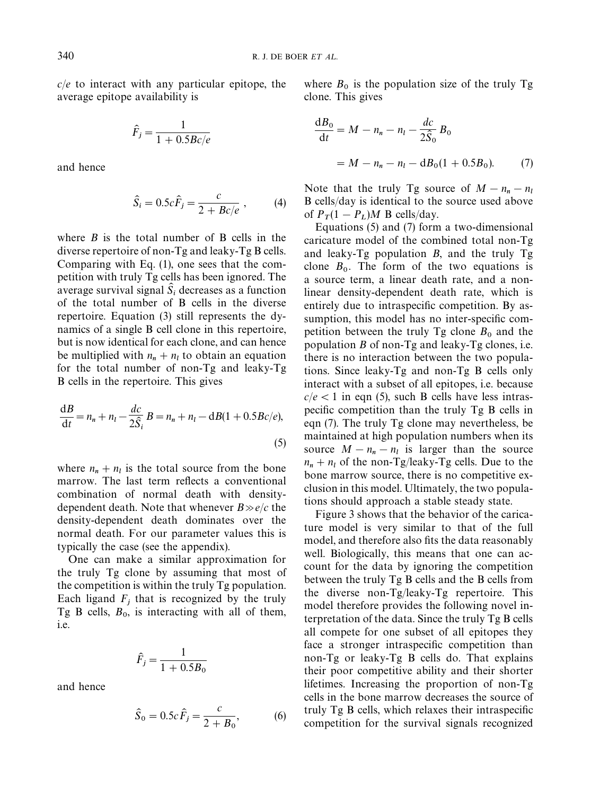*c*/*e* to interact with any particular epitope, the average epitope availability is

$$
\hat{F}_j = \frac{1}{1 + 0.5Bc/e}
$$

and hence

$$
\hat{S}_i = 0.5c\hat{F}_j = \frac{c}{2 + Bc/e} \,,\qquad (4)
$$

where *B* is the total number of B cells in the diverse repertoire of non-Tg and leaky-Tg B cells. Comparing with [Eq. \(1\),](#page-2-0) one sees that the competition with truly Tg cells has been ignored. The average survival signal  $\hat{S}_i$  decreases as a function of the total number of B cells in the diverse repertoire. [Equation \(3\)](#page-3-0) still represents the dynamics of a single B cell clone in this repertoire, but is now identical for each clone, and can hence be multiplied with  $n_n + n_l$  to obtain an equation for the total number of non-Tg and leaky-Tg B cells in the repertoire. This gives

$$
\frac{\mathrm{d}B}{\mathrm{d}t} = n_n + n_l - \frac{dc}{2\hat{S}_i}B = n_n + n_l - \mathrm{d}B(1 + 0.5Bc/e),\tag{5}
$$

where  $n_n + n_l$  is the total source from the bone marrow. The last term reflects a conventional combination of normal death with density-<br>dependent death. Note that whenever  $B \gg e/c$  the density-dependent death dominates over the normal death. For our parameter values this is typically the case (see the [appendix\)](#page-10-0).

One can make a similar approximation for the truly Tg clone by assuming that most of the competition is within the truly Tg population. Each ligand  $F_j$  that is recognized by the truly Tg B cells,  $B_0$ , is interacting with all of them, i.e.

$$
\hat{F}_j = \frac{1}{1 + 0.5B_0}
$$

and hence

$$
\hat{S}_0 = 0.5c\,\hat{F}_j = \frac{c}{2 + B_0},\tag{6}
$$

where  $B_0$  is the population size of the truly Tg clone. This gives

$$
\frac{dB_0}{dt} = M - n_n - n_l - \frac{dc}{2\hat{S}_0} B_0
$$
  
= M - n\_n - n\_l - dB\_0(1 + 0.5B\_0). (7)

Note that the truly Tg source of  $M - n_n - n_l$  B cells/day is identical to the source used above of  $P_T(1 - P_L)M$  B cells/day.

 Equations (5) and (7) form a two-dimensional caricature model of the combined total non-Tg and leaky-Tg population *B*, and the truly Tg clone  $B_0$ . The form of the two equations is a source term, a linear death rate, and a nonlinear density-dependent death rate, which is entirely due to intraspecific competition. By assumption, this model has no inter-specific competition between the truly  $Tg$  clone  $B_0$  and the population *B* of non-Tg and leaky-Tg clones, i.e. there is no interaction between the two populations. Since leaky-Tg and non-Tg B cells only interact with a subset of all epitopes, i.e. because  $c/e$  < 1 in eqn (5), such B cells have less intraspecific competition than the truly Tg B cells in eqn (7). The truly Tg clone may nevertheless, be maintained at high population numbers when its source  $M - n_n - n_l$  is larger than the source  $n_n + n_l$  of the non-Tg/leaky-Tg cells. Due to the bone marrow source, there is no competitive exclusion in this model. Ultimately, the two populations should approach a stable steady state.

[Figure 3](#page-8-0) shows that the behavior of the caricature model is very similar to that of the full model, and therefore also fits the data reasonably well. Biologically, this means that one can account for the data by ignoring the competition between the truly Tg B cells and the B cells from the diverse non-Tg/leaky-Tg repertoire. This model therefore provides the following novel interpretation of the data. Since the truly Tg B cells all compete for one subset of all epitopes they face a stronger intraspecific competition than non-Tg or leaky-Tg B cells do. That explains their poor competitive ability and their shorter lifetimes. Increasing the proportion of non-Tg cells in the bone marrow decreases the source of truly  $Tg$  B cells, which relaxes their intraspecific competition for the survival signals recognized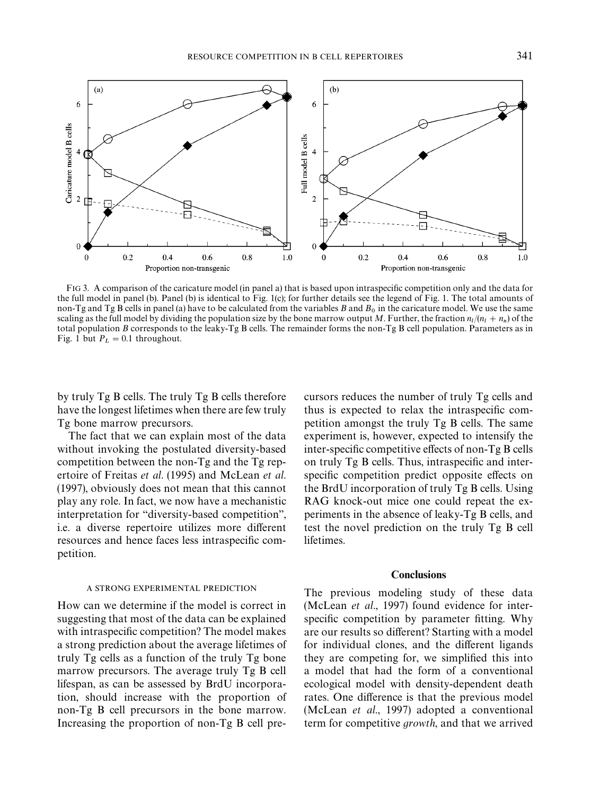<span id="page-8-0"></span>

FIG 3. A comparison of the caricature model (in panel a) that is based upon intraspecific competition only and the data for the full model in panel (b). Panel (b) is identical to Fig. 1(c); for further details see the legend of [Fig. 1.](#page-4-0) The total amounts of non-Tg and Tg B cells in panel (a) have to be calculated from the variables  $B$  and  $B_0$  in the caricature model. We use the same scaling as the full model by dividing the population size by the bone marrow output M. Further, the fraction  $n_l/(n_l + n_n)$  of the total population *B* corresponds to the leaky-Tg B cells. The remainder forms the non-Tg B cell population. Parameters as in [Fig. 1](#page-4-0) but  $P_L = 0.1$  throughout.

by truly Tg B cells. The truly Tg B cells therefore have the longest lifetimes when there are few truly Tg bone marrow precursors.

The fact that we can explain most of the data without invoking the postulated diversity-based competition between the non-Tg and the Tg repertoire of Freitas *et al*[. \(1995\)](#page-9-0) and [McLean](#page-10-0) *et al*. [\(1997\),](#page-10-0) obviously does not mean that this cannot play any role. In fact, we now have a mechanistic interpretation for "diversity-based competition", i.e. a diverse repertoire utilizes more different resources and hence faces less intraspecific competition.

#### A STRONG EXPERIMENTAL PREDICTION

How can we determine if the model is correct in suggesting that most of the data can be explained with intraspecific competition? The model makes a strong prediction about the average lifetimes of truly Tg cells as a function of the truly Tg bone marrow precursors. The average truly Tg B cell lifespan, as can be assessed by BrdU incorporation, should increase with the proportion of non-Tg B cell precursors in the bone marrow. Increasing the proportion of non-Tg B cell pre-

cursors reduces the number of truly Tg cells and thus is expected to relax the intraspecific competition amongst the truly Tg B cells. The same experiment is, however, expected to intensify the inter-specific competitive effects of non-Tg B cells on truly Tg B cells. Thus, intraspecific and interspecific competition predict opposite effects on the BrdU incorporation of truly Tg B cells. Using RAG knock-out mice one could repeat the experiments in the absence of leaky-Tg B cells, and test the novel prediction on the truly Tg B cell lifetimes.

#### **Conclusions**

The previous modeling study of these data [\(McLean](#page-10-0) *et al*., 1997) found evidence for interspecific competition by parameter fitting. Why are our results so different? Starting with a model for individual clones, and the different ligands they are competing for, we simplified this into a model that had the form of a conventional ecological model with density-dependent death rates. One difference is that the previous model [\(McLean](#page-10-0) *et al*., 1997) adopted a conventional term for competitive *growth*, and that we arrived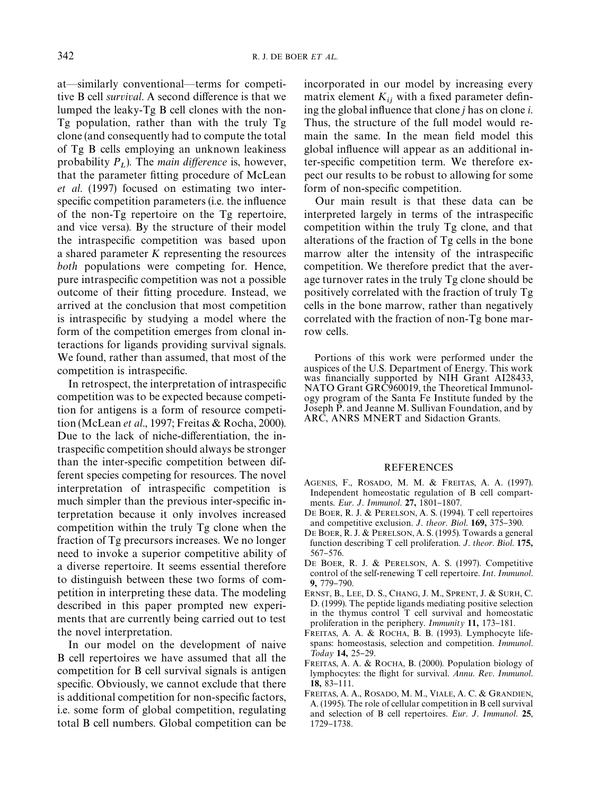<span id="page-9-0"></span>at—similarly conventional—terms for competitive B cell *survival*. A second difference is that we lumped the leaky-Tg B cell clones with the non-Tg population, rather than with the truly Tg clone (and consequently had to compute the total of Tg B cells employing an unknown leakiness probability  $P_L$ ). The *main difference* is, however, that the parameter fitting procedure of [McLean](#page-10-0) *et al*[. \(1997\)](#page-10-0) focused on estimating two interspecific competition parameters (i.e. the influence of the non-Tg repertoire on the Tg repertoire, and vice versa). By the structure of their model the intraspecific competition was based upon a shared parameter *K* representing the resources *both* populations were competing for. Hence, pure intraspecific competition was not a possible outcome of their fitting procedure. Instead, we arrived at the conclusion that most competition is intraspecific by studying a model where the form of the competition emerges from clonal interactions for ligands providing survival signals. We found, rather than assumed, that most of the competition is intraspecific.

In retrospect, the interpretation of intraspecific competition was to be expected because competition for antigens is a form of resource competition [\(McLean](#page-10-0) *et al*., 1997; Freitas & Rocha, 2000). Due to the lack of niche-differentiation, the intraspecific competition should always be stronger than the inter-specific competition between different species competing for resources. The novel interpretation of intraspecific competition is much simpler than the previous inter-specific interpretation because it only involves increased competition within the truly Tg clone when the fraction of Tg precursors increases. We no longer need to invoke a superior competitive ability of a diverse repertoire. It seems essential therefore to distinguish between these two forms of competition in interpreting these data. The modeling described in this paper prompted new experiments that are currently being carried out to test the novel interpretation.

In our model on the development of naive B cell repertoires we have assumed that all the competition for B cell survival signals is antigen specific. Obviously, we cannot exclude that there is additional competition for non-specific factors, i.e. some form of global competition, regulating total B cell numbers. Global competition can be incorporated in our model by increasing every matrix element  $K_{ij}$  with a fixed parameter defining the global influence that clone *j* has on clone *i*. Thus, the structure of the full model would remain the same. In the mean field model this global influence will appear as an additional inter-specific competition term. We therefore expect our results to be robust to allowing for some form of non-specific competition.

Our main result is that these data can be interpreted largely in terms of the intraspecific competition within the truly Tg clone, and that alterations of the fraction of Tg cells in the bone marrow alter the intensity of the intraspecific competition. We therefore predict that the average turnover rates in the truly Tg clone should be positively correlated with the fraction of truly Tg cells in the bone marrow, rather than negatively correlated with the fraction of non-Tg bone marrow cells.

Portions of this work were performed under the auspices of the U.S. Department of Energy. This work was financially supported by NIH Grant AI28433, NATO Grant GRC960019, the Theoretical Immunology program of the Santa Fe Institute funded by the Joseph P. and Jeanne M. Sullivan Foundation, and by ARC, ANRS MNERT and Sidaction Grants.

## REFERENCES

- AGENES, F., ROSADO, M. M. & FREITAS, A. A. (1997). Independent homeostatic regulation of B cell compartments. *Eur. J. Immunol.* **27,** 1801-1807.
- DE BOER, R. J. & PERELSON, A. S. (1994). T cell repertoires and competitive exclusion. *J. theor. Biol.* **169**, 375-390.
- DE BOER, R. J. & PERELSON, A. S. (1995). Towards a general function describing T cell proliferation. *J*. *theor*. *Biol*. 175, 567-576.
- DE BOER, R. J. & PERELSON, A. S. (1997). Competitive control of the self-renewing T cell repertoire. *Int*. *Immunol*. 9, 779-790.
- ERNST, B., LEE, D. S., CHANG, J. M., SPRENT, J. & SURH, C. D. (1999). The peptide ligands mediating positive selection in the thymus control T cell survival and homeostatic proliferation in the periphery. *Immunity* 11, 173-181.
- FREITAS, A. A. & ROCHA, B. B. (1993). Lymphocyte lifespans: homeostasis, selection and competition. *Immunol*. *Today* 14, 25-29.
- FREITAS, A. A. & ROCHA, B. (2000). Population biology of lymphocytes: the #ight for survival. *Annu*. *Rev*. *Immunol*. 18, 83-111.
- FREITAS, A. A., ROSADO, M. M., VIALE, A. C. & GRANDIEN, A. (1995). The role of cellular competition in B cell survival and selection of B cell repertoires. *Eur*. *J*. *Immunol*. 25, 1729-1738.